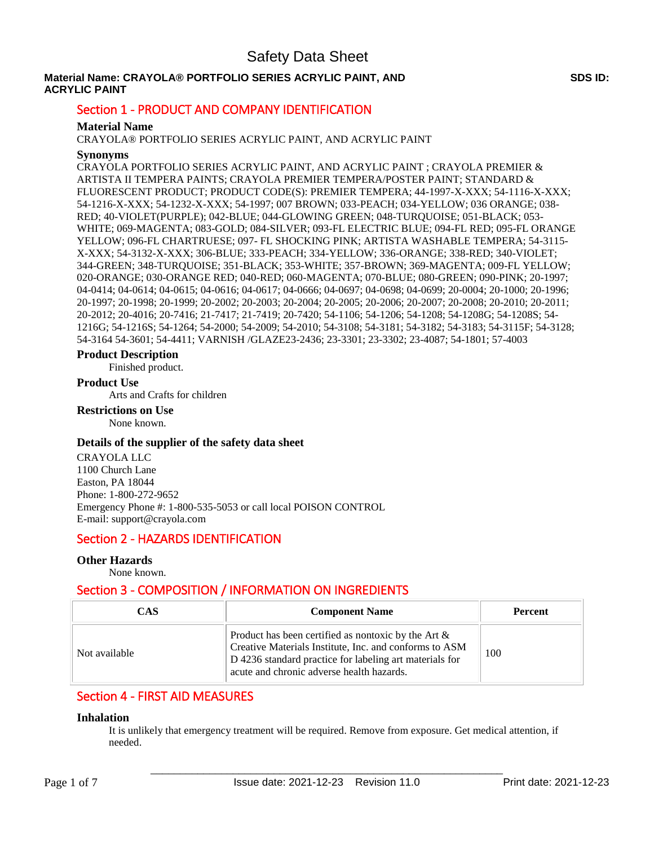# **Material Name: CRAYOLA® PORTFOLIO SERIES ACRYLIC PAINT, AND ACRYLIC PAINT**

# Section 1 - PRODUCT AND COMPANY IDENTIFICATION

# **Material Name**

CRAYOLA® PORTFOLIO SERIES ACRYLIC PAINT, AND ACRYLIC PAINT

## **Synonyms**

CRAYOLA PORTFOLIO SERIES ACRYLIC PAINT, AND ACRYLIC PAINT ; CRAYOLA PREMIER & ARTISTA II TEMPERA PAINTS; CRAYOLA PREMIER TEMPERA/POSTER PAINT; STANDARD & FLUORESCENT PRODUCT; PRODUCT CODE(S): PREMIER TEMPERA; 44-1997-X-XXX; 54-1116-X-XXX; 54-1216-X-XXX; 54-1232-X-XXX; 54-1997; 007 BROWN; 033-PEACH; 034-YELLOW; 036 ORANGE; 038- RED; 40-VIOLET(PURPLE); 042-BLUE; 044-GLOWING GREEN; 048-TURQUOISE; 051-BLACK; 053- WHITE; 069-MAGENTA; 083-GOLD; 084-SILVER; 093-FL ELECTRIC BLUE; 094-FL RED; 095-FL ORANGE YELLOW; 096-FL CHARTRUESE; 097- FL SHOCKING PINK; ARTISTA WASHABLE TEMPERA; 54-3115- X-XXX; 54-3132-X-XXX; 306-BLUE; 333-PEACH; 334-YELLOW; 336-ORANGE; 338-RED; 340-VIOLET; 344-GREEN; 348-TURQUOISE; 351-BLACK; 353-WHITE; 357-BROWN; 369-MAGENTA; 009-FL YELLOW; 020-ORANGE; 030-ORANGE RED; 040-RED; 060-MAGENTA; 070-BLUE; 080-GREEN; 090-PINK; 20-1997; 04-0414; 04-0614; 04-0615; 04-0616; 04-0617; 04-0666; 04-0697; 04-0698; 04-0699; 20-0004; 20-1000; 20-1996; 20-1997; 20-1998; 20-1999; 20-2002; 20-2003; 20-2004; 20-2005; 20-2006; 20-2007; 20-2008; 20-2010; 20-2011; 20-2012; 20-4016; 20-7416; 21-7417; 21-7419; 20-7420; 54-1106; 54-1206; 54-1208; 54-1208G; 54-1208S; 54- 1216G; 54-1216S; 54-1264; 54-2000; 54-2009; 54-2010; 54-3108; 54-3181; 54-3182; 54-3183; 54-3115F; 54-3128; 54-3164 54-3601; 54-4411; VARNISH /GLAZE23-2436; 23-3301; 23-3302; 23-4087; 54-1801; 57-4003

## **Product Description**

Finished product.

## **Product Use**

Arts and Crafts for children

## **Restrictions on Use**

None known.

## **Details of the supplier of the safety data sheet**

CRAYOLA LLC 1100 Church Lane Easton, PA 18044 Phone: 1-800-272-9652 Emergency Phone #: 1-800-535-5053 or call local POISON CONTROL E-mail: support@crayola.com

# Section 2 - HAZARDS IDENTIFICATION

# **Other Hazards**

None known.

# Section 3 - COMPOSITION / INFORMATION ON INGREDIENTS

| CAS           | <b>Component Name</b>                                                                                                                                                                                                    | <b>Percent</b> |
|---------------|--------------------------------------------------------------------------------------------------------------------------------------------------------------------------------------------------------------------------|----------------|
| Not available | Product has been certified as nontoxic by the Art $\&$<br>Creative Materials Institute, Inc. and conforms to ASM<br>D 4236 standard practice for labeling art materials for<br>acute and chronic adverse health hazards. | 100            |

# Section 4 - FIRST AID MEASURES

## **Inhalation**

It is unlikely that emergency treatment will be required. Remove from exposure. Get medical attention, if needed.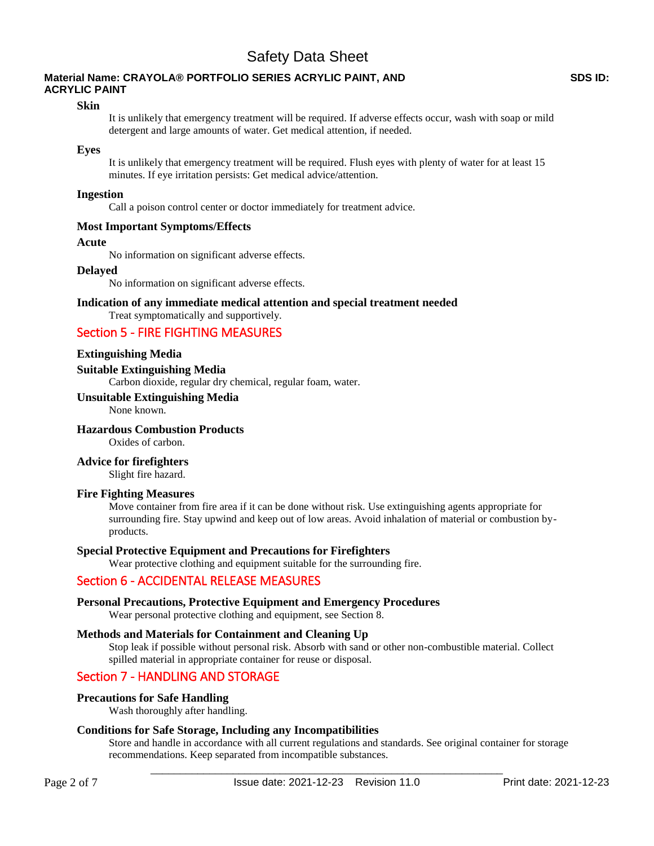# **Material Name: CRAYOLA® PORTFOLIO SERIES ACRYLIC PAINT, AND ACRYLIC PAINT**

## **Skin**

It is unlikely that emergency treatment will be required. If adverse effects occur, wash with soap or mild detergent and large amounts of water. Get medical attention, if needed.

## **Eyes**

It is unlikely that emergency treatment will be required. Flush eyes with plenty of water for at least 15 minutes. If eye irritation persists: Get medical advice/attention.

## **Ingestion**

Call a poison control center or doctor immediately for treatment advice.

## **Most Important Symptoms/Effects**

#### **Acute**

No information on significant adverse effects.

## **Delayed**

No information on significant adverse effects.

## **Indication of any immediate medical attention and special treatment needed**

# Treat symptomatically and supportively. Section 5 - FIRE FIGHTING MEASURES

## **Extinguishing Media**

**Suitable Extinguishing Media** 

Carbon dioxide, regular dry chemical, regular foam, water.

#### **Unsuitable Extinguishing Media**

None known.

# **Hazardous Combustion Products**

Oxides of carbon.

#### **Advice for firefighters**

Slight fire hazard.

#### **Fire Fighting Measures**

Move container from fire area if it can be done without risk. Use extinguishing agents appropriate for surrounding fire. Stay upwind and keep out of low areas. Avoid inhalation of material or combustion byproducts.

## **Special Protective Equipment and Precautions for Firefighters**

Wear protective clothing and equipment suitable for the surrounding fire.

# Section 6 - ACCIDENTAL RELEASE MEASURES

## **Personal Precautions, Protective Equipment and Emergency Procedures**

Wear personal protective clothing and equipment, see Section 8.

#### **Methods and Materials for Containment and Cleaning Up**

Stop leak if possible without personal risk. Absorb with sand or other non-combustible material. Collect spilled material in appropriate container for reuse or disposal.

# Section 7 - HANDLING AND STORAGE

## **Precautions for Safe Handling**

Wash thoroughly after handling.

## **Conditions for Safe Storage, Including any Incompatibilities**

Store and handle in accordance with all current regulations and standards. See original container for storage recommendations. Keep separated from incompatible substances.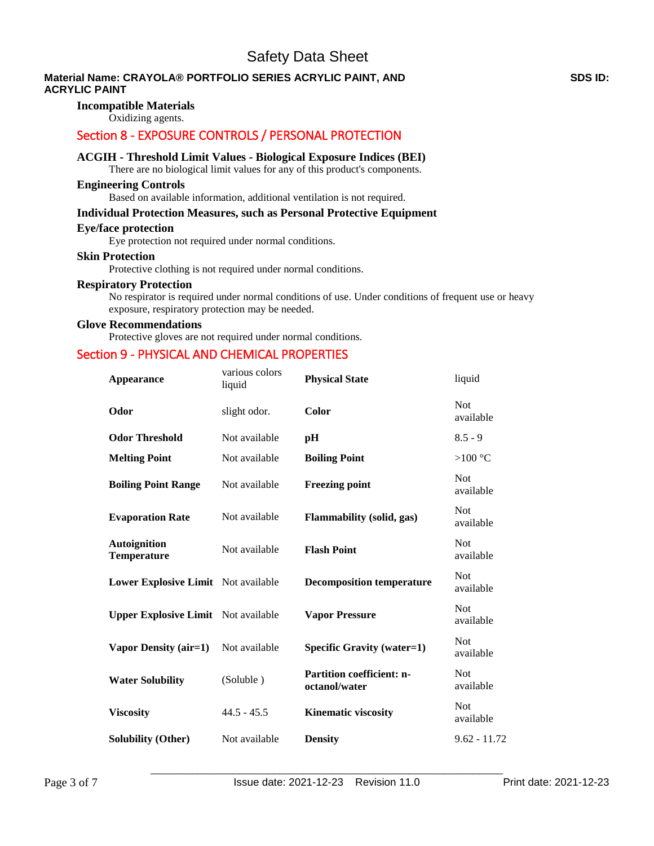# **Material Name: CRAYOLA® PORTFOLIO SERIES ACRYLIC PAINT, AND ACRYLIC PAINT**

# **Incompatible Materials**

Oxidizing agents.

# Section 8 - EXPOSURE CONTROLS / PERSONAL PROTECTION

## **ACGIH - Threshold Limit Values - Biological Exposure Indices (BEI)**

There are no biological limit values for any of this product's components.

## **Engineering Controls**

Based on available information, additional ventilation is not required.

# **Individual Protection Measures, such as Personal Protective Equipment**

## **Eye/face protection**

Eye protection not required under normal conditions.

#### **Skin Protection**

Protective clothing is not required under normal conditions.

# **Respiratory Protection**

No respirator is required under normal conditions of use. Under conditions of frequent use or heavy exposure, respiratory protection may be needed.

## **Glove Recommendations**

Protective gloves are not required under normal conditions.

# Section 9 - PHYSICAL AND CHEMICAL PROPERTIES

| <b>Appearance</b>                          | various colors<br>liquid | <b>Physical State</b>                             | liquid                  |
|--------------------------------------------|--------------------------|---------------------------------------------------|-------------------------|
| Odor                                       | slight odor.             | Color                                             | Not<br>available        |
| <b>Odor Threshold</b>                      | Not available            | pН                                                | $8.5 - 9$               |
| <b>Melting Point</b>                       | Not available            | <b>Boiling Point</b>                              | > $100 °C$              |
| <b>Boiling Point Range</b>                 | Not available            | <b>Freezing point</b>                             | Not<br>available        |
| <b>Evaporation Rate</b>                    | Not available            | Flammability (solid, gas)                         | <b>Not</b><br>available |
| <b>Autoignition</b><br><b>Temperature</b>  | Not available            | <b>Flash Point</b>                                | <b>Not</b><br>available |
| Lower Explosive Limit Not available        |                          | <b>Decomposition temperature</b>                  | <b>Not</b><br>available |
| <b>Upper Explosive Limit</b> Not available |                          | <b>Vapor Pressure</b>                             | <b>Not</b><br>available |
| Vapor Density (air=1)                      | Not available            | Specific Gravity (water=1)                        | <b>Not</b><br>available |
| <b>Water Solubility</b>                    | (Soluble)                | <b>Partition coefficient: n-</b><br>octanol/water | <b>Not</b><br>available |
| <b>Viscosity</b>                           | $44.5 - 45.5$            | <b>Kinematic viscosity</b>                        | Not<br>available        |
| <b>Solubility (Other)</b>                  | Not available            | <b>Density</b>                                    | $9.62 - 11.72$          |
|                                            |                          |                                                   |                         |

\_\_\_\_\_\_\_\_\_\_\_\_\_\_\_\_\_\_\_\_\_\_\_\_\_\_\_\_\_\_\_\_\_\_\_\_\_\_\_\_\_\_\_\_\_\_\_\_\_\_\_\_\_\_\_\_\_\_\_\_

## **SDS ID:**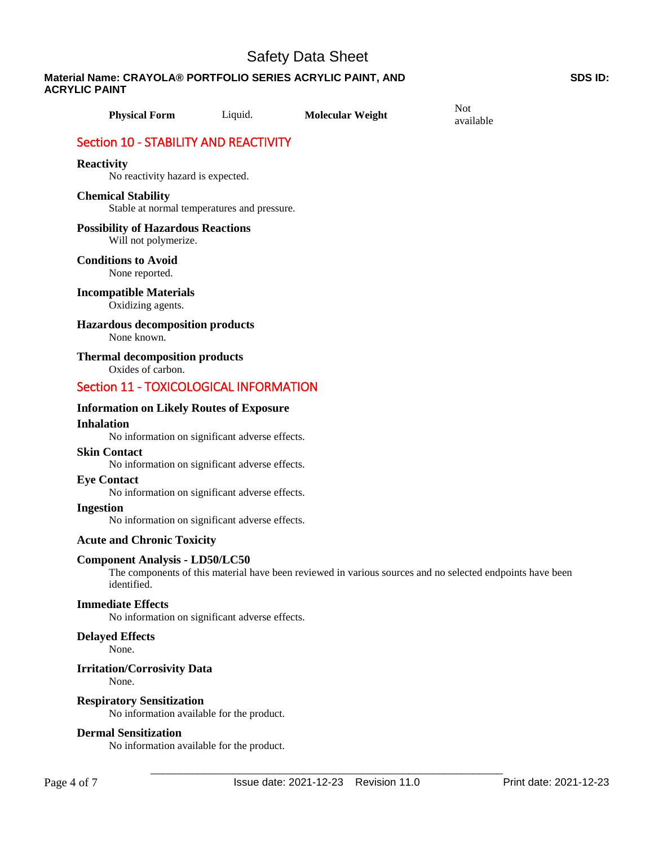**Material Name: CRAYOLA® PORTFOLIO SERIES ACRYLIC PAINT, AND ACRYLIC PAINT**

| <b>Physical Form</b>                                                 | Liquid.                                        | <b>Molecular Weight</b> | <b>Not</b><br>available                                                                                   |
|----------------------------------------------------------------------|------------------------------------------------|-------------------------|-----------------------------------------------------------------------------------------------------------|
| Section 10 - STABILITY AND REACTIVITY                                |                                                |                         |                                                                                                           |
| <b>Reactivity</b><br>No reactivity hazard is expected.               |                                                |                         |                                                                                                           |
| <b>Chemical Stability</b>                                            | Stable at normal temperatures and pressure.    |                         |                                                                                                           |
| <b>Possibility of Hazardous Reactions</b><br>Will not polymerize.    |                                                |                         |                                                                                                           |
| <b>Conditions to Avoid</b><br>None reported.                         |                                                |                         |                                                                                                           |
| <b>Incompatible Materials</b><br>Oxidizing agents.                   |                                                |                         |                                                                                                           |
| <b>Hazardous decomposition products</b><br>None known.               |                                                |                         |                                                                                                           |
| <b>Thermal decomposition products</b><br>Oxides of carbon.           |                                                |                         |                                                                                                           |
| Section 11 - TOXICOLOGICAL INFORMATION                               |                                                |                         |                                                                                                           |
| <b>Information on Likely Routes of Exposure</b><br><b>Inhalation</b> | No information on significant adverse effects. |                         |                                                                                                           |
| <b>Skin Contact</b>                                                  | No information on significant adverse effects. |                         |                                                                                                           |
| <b>Eye Contact</b>                                                   | No information on significant adverse effects. |                         |                                                                                                           |
| <b>Ingestion</b>                                                     | No information on significant adverse effects. |                         |                                                                                                           |
| <b>Acute and Chronic Toxicity</b>                                    |                                                |                         |                                                                                                           |
| <b>Component Analysis - LD50/LC50</b><br>identified.                 |                                                |                         | The components of this material have been reviewed in various sources and no selected endpoints have been |
| <b>Immediate Effects</b>                                             | No information on significant adverse effects. |                         |                                                                                                           |
| <b>Delayed Effects</b><br>None.                                      |                                                |                         |                                                                                                           |
| <b>Irritation/Corrosivity Data</b><br>None.                          |                                                |                         |                                                                                                           |
| <b>Respiratory Sensitization</b>                                     | No information available for the product.      |                         |                                                                                                           |
| <b>Dermal Sensitization</b>                                          | No information available for the product.      |                         |                                                                                                           |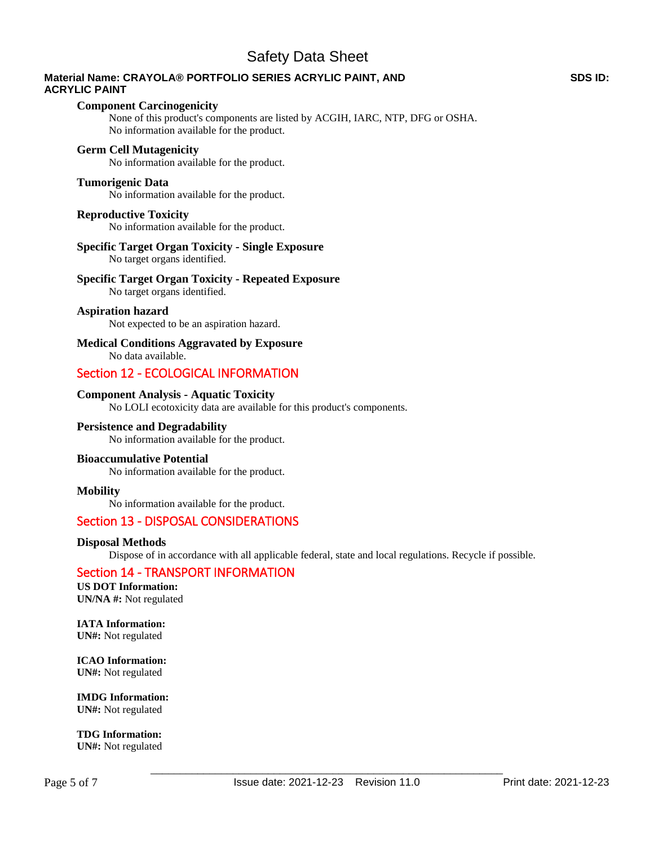# **Material Name: CRAYOLA® PORTFOLIO SERIES ACRYLIC PAINT, AND ACRYLIC PAINT**

#### **Component Carcinogenicity**

None of this product's components are listed by ACGIH, IARC, NTP, DFG or OSHA. No information available for the product.

## **Germ Cell Mutagenicity**

No information available for the product.

### **Tumorigenic Data**

No information available for the product.

#### **Reproductive Toxicity**

No information available for the product.

# **Specific Target Organ Toxicity - Single Exposure**

No target organs identified.

## **Specific Target Organ Toxicity - Repeated Exposure**

No target organs identified.

## **Aspiration hazard**

Not expected to be an aspiration hazard.

# **Medical Conditions Aggravated by Exposure**

No data available.

# Section 12 - ECOLOGICAL INFORMATION

## **Component Analysis - Aquatic Toxicity**

No LOLI ecotoxicity data are available for this product's components.

## **Persistence and Degradability**

No information available for the product.

## **Bioaccumulative Potential**

No information available for the product.

#### **Mobility**

No information available for the product.

# Section 13 - DISPOSAL CONSIDERATIONS

## **Disposal Methods**

Dispose of in accordance with all applicable federal, state and local regulations. Recycle if possible.

# Section 14 - TRANSPORT INFORMATION

**US DOT Information: UN/NA #:** Not regulated

**IATA Information: UN#:** Not regulated

**ICAO Information: UN#:** Not regulated

**IMDG Information: UN#:** Not regulated

**TDG Information: UN#:** Not regulated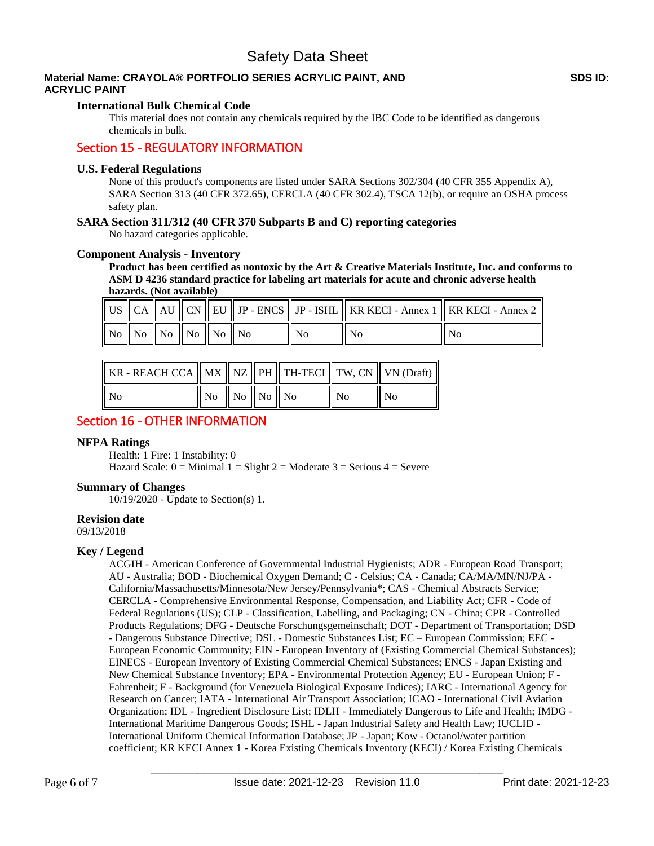# **Material Name: CRAYOLA® PORTFOLIO SERIES ACRYLIC PAINT, AND ACRYLIC PAINT**

## **International Bulk Chemical Code**

This material does not contain any chemicals required by the IBC Code to be identified as dangerous chemicals in bulk.

# Section 15 - REGULATORY INFORMATION

## **U.S. Federal Regulations**

None of this product's components are listed under SARA Sections 302/304 (40 CFR 355 Appendix A), SARA Section 313 (40 CFR 372.65), CERCLA (40 CFR 302.4), TSCA 12(b), or require an OSHA process safety plan.

## **SARA Section 311/312 (40 CFR 370 Subparts B and C) reporting categories**

No hazard categories applicable.

## **Component Analysis - Inventory**

**Product has been certified as nontoxic by the Art & Creative Materials Institute, Inc. and conforms to ASM D 4236 standard practice for labeling art materials for acute and chronic adverse health hazards. (Not available)**

|                                                                                                       |  |  |                | $\parallel$ US $\parallel$ CA $\parallel$ AU $\parallel$ CN $\parallel$ EU $\parallel$ JP - ENCS $\parallel$ JP - ISHL $\parallel$ KR KECI - Annex 1 $\parallel$ KR KECI - Annex 2 $\parallel$ |
|-------------------------------------------------------------------------------------------------------|--|--|----------------|------------------------------------------------------------------------------------------------------------------------------------------------------------------------------------------------|
| $\parallel$ No $\parallel$ No $\parallel$ No $\parallel$ No $\parallel$ No $\parallel$ No $\parallel$ |  |  | N <sub>0</sub> | No                                                                                                                                                                                             |

| KR - REACH CCA    MX    NZ    PH    TH-TECI    TW, CN    VN (Draft) |                                                             |  |    |                |
|---------------------------------------------------------------------|-------------------------------------------------------------|--|----|----------------|
| ll No                                                               | $\parallel$ No $\parallel$ No $\parallel$ No $\parallel$ No |  | No | N <sub>0</sub> |

# Section 16 - OTHER INFORMATION

## **NFPA Ratings**

Health: 1 Fire: 1 Instability: 0 Hazard Scale:  $0 =$  Minimal  $1 =$  Slight  $2 =$  Moderate  $3 =$  Serious  $4 =$  Severe

## **Summary of Changes**

10/19/2020 - Update to Section(s) 1.

## **Revision date**

09/13/2018

## **Key / Legend**

ACGIH - American Conference of Governmental Industrial Hygienists; ADR - European Road Transport; AU - Australia; BOD - Biochemical Oxygen Demand; C - Celsius; CA - Canada; CA/MA/MN/NJ/PA - California/Massachusetts/Minnesota/New Jersey/Pennsylvania\*; CAS - Chemical Abstracts Service; CERCLA - Comprehensive Environmental Response, Compensation, and Liability Act; CFR - Code of Federal Regulations (US); CLP - Classification, Labelling, and Packaging; CN - China; CPR - Controlled Products Regulations; DFG - Deutsche Forschungsgemeinschaft; DOT - Department of Transportation; DSD - Dangerous Substance Directive; DSL - Domestic Substances List; EC – European Commission; EEC - European Economic Community; EIN - European Inventory of (Existing Commercial Chemical Substances); EINECS - European Inventory of Existing Commercial Chemical Substances; ENCS - Japan Existing and New Chemical Substance Inventory; EPA - Environmental Protection Agency; EU - European Union; F - Fahrenheit; F - Background (for Venezuela Biological Exposure Indices); IARC - International Agency for Research on Cancer; IATA - International Air Transport Association; ICAO - International Civil Aviation Organization; IDL - Ingredient Disclosure List; IDLH - Immediately Dangerous to Life and Health; IMDG - International Maritime Dangerous Goods; ISHL - Japan Industrial Safety and Health Law; IUCLID - International Uniform Chemical Information Database; JP - Japan; Kow - Octanol/water partition coefficient; KR KECI Annex 1 - Korea Existing Chemicals Inventory (KECI) / Korea Existing Chemicals